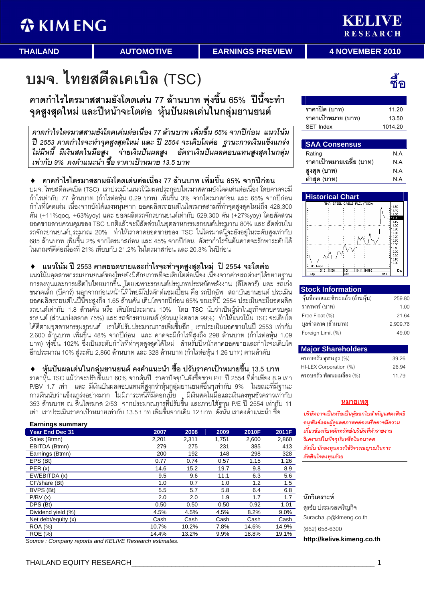K M M M M RESEARCH

**THAILAND** 

**AUTOMOTIVE** 

**EARNINGS PREVIEW** 

**4 NOVEMBER 2010** 

บมจ. ไทยสตีลเคเบิล (TSC)

์ คาดกำไรไตรมาสสามยังโดดเด่น 77 ล้านบาท พุ่งขึ้น 65% ปีนี้จะทำ จุดสูงสุดใหม่ และปีหน้าจะโตต่อ หุ้นปันผลเด่นในกลุ่มยานยนต์

คาดกำไรไตรมาสสามยังโดดเด่นต่อเนื่อง 77 ล้านบาท เพิ่มขึ้น 65% จากปีก่อน แนวโน้ม ปี 2553 คาดกำไรจะทำจุดสูงสุดใหม่ และ ปี 2554 จะเติบโตต่อ ฐานะการเงินแข็งแกร่ง ไม่มีหนี้ มีเงินสดในมือสง จ่ายเงินปันผลสง อัตราเงินปันผลตอบแทนสงสดในกล่ม เท่ากับ 9% คงคำแนะนำ ซื้อ ราคาเป้าหมาย 13.5 บาท

ิคาดกำไรไตรมาสสามยังโดดเด่นต่อเนื่อง 77 ล้านบาท เพิ่มขึ้น 65% จากปีก่อน  $\blacklozenge$ ็บมจ. ไทยสตีลเคเบิล (TSC) เราประเมินแนวโน้มผลประกูอบไตรมาสสามยังโดดเด่นต่อเนื่อง โดยคาดจะมี ้ กำไรเท่ากับ 77 ล้านบาท (กำไรต่อหุ้น 0.29 บาท) เพิ่มขึ้น 3% จากไตรมาสก่อน และ 65% จากปีก่อน กำไรที่โดดเด่น เนื่องจากยังได้แรงหนุ่นจาก ยอดผลิตรถยนต์ในไตรมาสสามที่ทำจุดสูงสุดใหม่ถึง 428,300 คัน (+11%qoq, +63%yoy) และ ยอดผลิตรถจักรยานยนต์เท่ากับ 529,300 คัน (+27%yoy) โดยสัดส่วน ียอดขายสายควบคุมของ TSC ปกติแล้วจะมีสัดส่วนในอุตสาหกรรมรถยนต์ประมาณ 80% และ สัดส่วนใน ิ รถจักรยานยนต์ประมาณ 20% ทำให้เราคาดยอดขายของ TSC ในไตรมาสนี้จะยังอยู่ในระดับสูงเท่ากับ 685 ล้านบาท เพิ่มขึ้น 2% จากไตรมาสก่อน และ 45% จากปีก่อน อัตรากำไรขันต้นคาดจะรักษาระดับได้ ในเกณฑ์ดีต่อเนื่องที่ 21% เทียบกับ 21.2% ในไตรมาสก่อน และ 20.3% ในปีก่อน

ี แนวโน้ม ปี 2553 คาดยอดขายและกำไรจะทำจุดสูงสุดใหม่ ปี 2554 จะโตต่อ

แนวโน้มอุตสาหกรรมยานยนต์ของใหยยังมีศักยภาพที่จะเติบโตตีอเนื่อง เนื่องจากค่ายรถต่างๆได้ขยายฐาน การลงทุนและการผลิตในไทยมากขึ้น โคยเฉพาะรถยนต์ประเภทประหยัดพลังงาน (อีโคคาร์) และ รถเก๋ง ขนาดเล็ก (บีคาร์) นอุกจากก่อนหน้านี้ที่ไทยมีโปรดักต์แชมเปี้ยน คือ รถปิกอัพ สถาบันยานยนต์ ประเมิน ยอดผลิตรถยนต์ในปีนี้จะสูงถึง 1.65 ล้านคัน เติบโตจากปีก่อน 65% ขณะที่ปี 2554 ประเมินจะมียอดผลิต ิ รถยนต์เท่ากับ 1.8 ล้านคั้น หรือ เติบโตประมาณ 10% โดย TSC นับว่าเป็นผู้นำในธุรกิจสายควบคุม ิ รถยนต์ (ส่วนแบ่งตลาด 75%) และ รถจักรยานยนต์ (ส่วนแบ่งตลาด 99%) ทำให้แนวโน้ม TSC จะเติบโต ี่ได้ดีตามอุตสาหกรรมรถยนต์ เราได้ปรับประมาณการเพิ่มขึ้นอีก เราประเมินยอดขายในปี 2553 เท่ากับ 2,600 ล้านบาท เพิ่มขึ้น 48% จากปีก่อน และ คาดจะมีกำไรที่สูงถึง 298 ล้านบาท (กำไรต่อหุ้น 1.09 ิ บาท) พุ่งขึ้น 102% ซึ่งเป็นระดับกำไรที่ทำจุดสูงสุดได้ใหม่ สำหรับปีหน้าคาดยอดขายและกำไรจะเติบโต ี่ อีกประมาณ 10% สู่ระดับ 2,860 ล้านบาท และ 328 ล้านบาท (กำไรต่อหุ้น 1.26 บาท) ตามลำดับ

์ หุ้นปั้นผลเด่นในกลุ่มยานยนต์ คงคำแนะนำ ซื้อ ปรับราคาเป้าหมายขึ้น 13.5 บาท ิ ราคาหุ้น TSC แม้ว่าจะปรับขึ้นมา 60% จากต้นปี ราคาปัจจุบันยังซื้อขาย P/E ปี 2554 ที่ต่ำเพียง 8.9 เท่า P/BV 1.7 เท่า และ มีเงินปันผลตอบแทนที่สูงกว่าหุ้นกูลุ่มยานยนต์อื่นๆเท่ากับ 9% ในขณะที่มีฐานะ ี การเงินนับว่าแข็งแกร่งอย่างมาก ไม่มีภาระหนี้ที่มีดอกเบี้ย มีเงินสดในมือและเงินลงทุนชั่วคราวเท่๊ากับ<br>353 ล้านบาท ณ สิ้นไตรมาส 2/53 จากประมาณการที่ปรับขึ้น และภายใต้ฐาน P/E ปี 2554 เท่ากับ 11 เท่า เราประเมินราคาเป้าหมายเท่ากับ 13.5 บาท เพิ่มขึ้นจากเดิม 12 บาท ดั๊งนั้น เราคงคำแนะนำ ซื้อ

| <b>Earnings summary</b> |       |       |       |       |       |
|-------------------------|-------|-------|-------|-------|-------|
| <b>Year End Dec 31</b>  | 2007  | 2008  | 2009  | 2010F | 2011F |
| Sales (Btmn)            | 2,201 | 2,311 | 1,751 | 2,600 | 2,860 |
| EBITDA (Btmn)           | 279   | 275   | 231   | 385   | 413   |
| Earnings (Btmn)         | 200   | 192   | 148   | 298   | 328   |
| EPS (Bt)                | 0.77  | 0.74  | 0.57  | 1.15  | 1.26  |
| PER(x)                  | 14.6  | 15.2  | 19.7  | 9.8   | 8.9   |
| EV/EBITDA (x)           | 9.5   | 9.6   | 11.1  | 6.3   | 5.6   |
| CF/share (Bt)           | 1.0   | 0.7   | 1.0   | 1.2   | 1.5   |
| BVPS (Bt)               | 5.5   | 5.7   | 5.8   | 6.4   | 6.8   |
| P/BV(x)                 | 2.0   | 2.0   | 1.9   | 1.7   | 1.7   |
| DPS (Bt)                | 0.50  | 0.50  | 0.50  | 0.92  | 1.01  |
| Dividend yield (%)      | 4.5%  | 4.5%  | 4.5%  | 8.2%  | 9.0%  |
| Net debt/equity (x)     | Cash  | Cash  | Cash  | Cash  | Cash  |
| <b>ROA</b> (%)          | 10.7% | 10.2% | 7.8%  | 14.6% | 14.9% |
| <b>ROE</b> (%)          | 14.4% | 13.2% | 9.9%  | 18.8% | 19.1% |

Source: Company reports and KELIVE Research estimates.

ี่สัด

ราคาปิด (บาท) 11 20 ราคาเป้าหมาย (บาท) 13.50 **SET Index** 1014.20

#### **SAA Consensus** Rating  $N.A$ ราคาเป้าหมายเฉลี่ย (บาท) N A สงสด (บาท)  $N.A$ ต่ำสุด (บาท)  $N.A$



## **Stock Information**

| หุ้นที่ออกและชำระแล้ว (ล้านหุ้น) | 259.80   |
|----------------------------------|----------|
| ราคาพาร์ (บาท)                   | 1.00     |
| Free Float (%)                   | 21.64    |
| มูลค่าตลาด (ล้านบาท)             | 2,909.76 |
| Foreign Limit (%)                | 49.00    |

| <b>Major Shareholders</b> |       |
|---------------------------|-------|
| ครอบครัว จุฬางกูร (%)     | 39.26 |
| HI-LEX Corporation (%)    | 26.94 |
| ครอบครัว พัฒนะเมลือง (%)  | 1179  |

## <u>หมายเหตุ</u>

บริษัทอาจเป็นหรือเป็นผ้ออกใบสำคัญแสดงสิทธิ อนพันธ์และผัดแลสภาพคล่องหรืออาจมีความ เกี่ยวข้องกับหลักทรัพย์/บริษัทที่ทำรายงาน วิเคราะห์ในปัจจุบันหรือในอนาคต ดังนั้น นักลงทุนควรใช้วิจารณญาณในการ ตัดสินใจลงทนด้วย

## นักวิเคราะห์

สรชัย ประมวลเจริญกิจ Surachai.p@kimeng.co.th

(662) 658-6300

http://kelive.kimena.co.th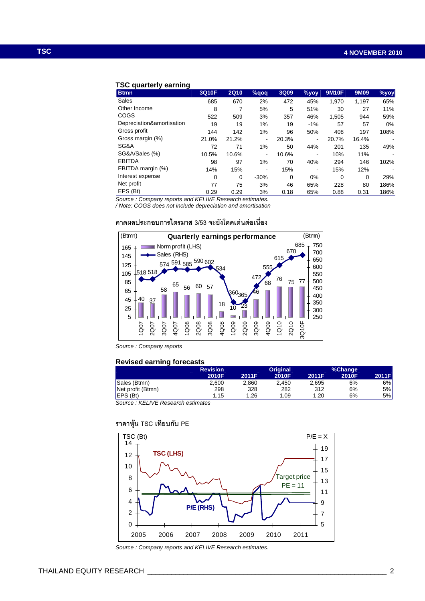## **TSC quarterly earning**

| <b>Btmn</b>               | 3Q10F | <b>2Q10</b> | $%$ qoq | 3Q09     | %yoy                     | <b>9M10F</b> | 9M09     | $%$ yoy |
|---------------------------|-------|-------------|---------|----------|--------------------------|--------------|----------|---------|
| Sales                     | 685   | 670         | 2%      | 472      | 45%                      | 1,970        | 1,197    | 65%     |
| Other Income              | 8     | 7           | 5%      | 5        | 51%                      | 30           | 27       | 11%     |
| COGS                      | 522   | 509         | 3%      | 357      | 46%                      | 1,505        | 944      | 59%     |
| Depreciation&amortisation | 19    | 19          | 1%      | 19       | $-1%$                    | 57           | 57       | 0%      |
| Gross profit              | 144   | 142         | 1%      | 96       | 50%                      | 408          | 197      | 108%    |
| Gross margin (%)          | 21.0% | 21.2%       | ۰       | 20.3%    | $\overline{\phantom{a}}$ | 20.7%        | 16.4%    |         |
| SG&A                      | 72    | 71          | 1%      | 50       | 44%                      | 201          | 135      | 49%     |
| SG&A/Sales (%)            | 10.5% | 10.6%       | ۰       | 10.6%    | $\blacksquare$           | 10%          | 11%      |         |
| <b>EBITDA</b>             | 98    | 97          | $1\%$   | 70       | 40%                      | 294          | 146      | 102%    |
| EBITDA margin (%)         | 14%   | 15%         | ۰       | 15%      | $\overline{\phantom{a}}$ | 15%          | 12%      |         |
| Interest expense          | 0     | 0           | $-30%$  | $\Omega$ | 0%                       | 0            | $\Omega$ | 29%     |
| Net profit                | 77    | 75          | 3%      | 46       | 65%                      | 228          | 80       | 186%    |
| EPS (Bt)                  | 0.29  | 0.29        | 3%      | 0.18     | 65%                      | 0.88         | 0.31     | 186%    |

Source : Company reports and KELIVE Research estimates.

/ Note: COGS does not include depreciation and amortisation

## คาดผลประกอบการไตรมาส 3/53 จะยังโดดเด่นต่อเนื่อง



Source : Company reports

## **Revised earning forecasts**

|                   | <b>Revision</b> |       | <b>Original</b> |       | %Change |       |
|-------------------|-----------------|-------|-----------------|-------|---------|-------|
|                   | 2010F           | 2011F | 2010F           | 2011F | 2010F   | 2011F |
| Sales (Btmn)      | 2,600           | 2.860 | 2.450           | 2,695 | 6%      | 6%l   |
| Net profit (Btmn) | 298             | 328   | 282             | 312   | 6%      | 5%    |
| EPS (Bt)          | 1.15            | .26   | 1.09            | .20   | 6%      | 5%    |
|                   |                 |       |                 |       |         |       |

Source : KELIVE Research estimates

## ราคาหุ้น TSC เทียบกับ PE



Source : Company reports and KELIVE Research estimates.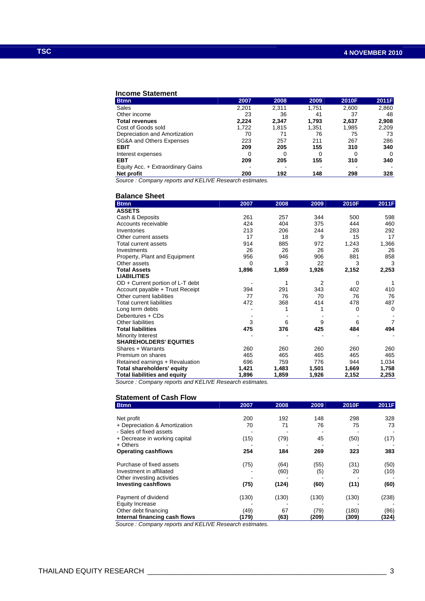## **Income Statement**

| <b>Btmn</b>                       | 2007  | 2008  | 2009  | 2010F | 2011F |
|-----------------------------------|-------|-------|-------|-------|-------|
| Sales                             | 2,201 | 2,311 | 1,751 | 2,600 | 2,860 |
| Other income                      | 23    | 36    | 41    | 37    | 48    |
| <b>Total revenues</b>             | 2.224 | 2.347 | 1.793 | 2,637 | 2,908 |
| Cost of Goods sold                | 1.722 | 1.815 | 1,351 | 1,985 | 2,209 |
| Depreciation and Amortization     | 70    | 71    | 76    | 75    | 73    |
| SG&A and Others Expenses          | 223   | 257   | 211   | 267   | 286   |
| <b>EBIT</b>                       | 209   | 205   | 155   | 310   | 340   |
| Interest expenses                 | 0     |       |       | 0     | 0     |
| EBT                               | 209   | 205   | 155   | 310   | 340   |
| Equity Acc. + Extraordinary Gains |       |       |       |       |       |
| Net profit                        | 200   | 192   | 148   | 298   | 328   |

Source : Company reports and KELIVE Research estimates.

## **Balance Sheet**

| <b>Btmn</b>                         | 2007  | 2008  | 2009           | 2010F | 2011F          |
|-------------------------------------|-------|-------|----------------|-------|----------------|
| <b>ASSETS</b>                       |       |       |                |       |                |
| Cash & Deposits                     | 261   | 257   | 344            | 500   | 598            |
| Accounts receivable                 | 424   | 404   | 375            | 444   | 460            |
| Inventories                         | 213   | 206   | 244            | 283   | 292            |
| Other current assets                | 17    | 18    | 9              | 15    | 17             |
| Total current assets                | 914   | 885   | 972            | 1,243 | 1,366          |
| Investments                         | 26    | 26    | 26             | 26    | 26             |
| Property, Plant and Equipment       | 956   | 946   | 906            | 881   | 858            |
| Other assets                        | 0     | 3     | 22             | 3     | 3              |
| <b>Total Assets</b>                 | 1,896 | 1,859 | 1,926          | 2,152 | 2,253          |
| <b>LIABILITIES</b>                  |       |       |                |       |                |
| $OD + Current$ portion of L-T debt  |       | 1     | $\overline{2}$ | 0     | 1              |
| Account payable + Trust Receipt     | 394   | 291   | 343            | 402   | 410            |
| Other current liabilities           | 77    | 76    | 70             | 76    | 76             |
| <b>Total current liabilities</b>    | 472   | 368   | 414            | 478   | 487            |
| Long term debts                     |       |       |                | 0     | 0              |
| Debentures + CDs                    |       |       |                |       |                |
| Other liabilities                   | 3     | 6     | 9              | 6     | $\overline{7}$ |
| <b>Total liabilities</b>            | 475   | 376   | 425            | 484   | 494            |
| Minority Interest                   |       |       |                |       |                |
| <b>SHAREHOLDERS' EQUITIES</b>       |       |       |                |       |                |
| Shares + Warrants                   | 260   | 260   | 260            | 260   | 260            |
| Premium on shares                   | 465   | 465   | 465            | 465   | 465            |
| Retained earnings + Revaluation     | 696   | 759   | 776            | 944   | 1,034          |
| <b>Total shareholders' equity</b>   | 1,421 | 1,483 | 1,501          | 1,669 | 1,758          |
| <b>Total liabilities and equity</b> | 1,896 | 1,859 | 1,926          | 2,152 | 2,253          |

Source : Company reports and KELIVE Research estimates.

## **Statement of Cash Flow**

| <b>Btmn</b>                   | 2007  | 2008  | 2009  | 2010F | 2011F |
|-------------------------------|-------|-------|-------|-------|-------|
|                               |       |       |       |       |       |
| Net profit                    | 200   | 192   | 148   | 298   | 328   |
| + Depreciation & Amortization | 70    | 71    | 76    | 75    | 73    |
| - Sales of fixed assets       |       |       |       |       |       |
| + Decrease in working capital | (15)  | (79)  | 45    | (50)  | (17)  |
| $+$ Others                    |       |       |       |       |       |
| <b>Operating cashflows</b>    | 254   | 184   | 269   | 323   | 383   |
| Purchase of fixed assets      | (75)  | (64)  | (55)  | (31)  | (50)  |
| Investment in affiliated      |       | (60)  | (5)   | 20    | (10)  |
| Other investing activities    |       |       |       |       |       |
| <b>Investing cashflows</b>    | (75)  | (124) | (60)  | (11)  | (60)  |
| Payment of dividend           | (130) | (130) | (130) | (130) | (238) |
| <b>Equity Increase</b>        |       |       |       |       |       |
| Other debt financing          | (49)  | 67    | (79)  | (180) | (86)  |
| Internal financing cash flows | (179) | (63)  | (209) | (309) | (324) |

Source : Company reports and KELIVE Research estimates.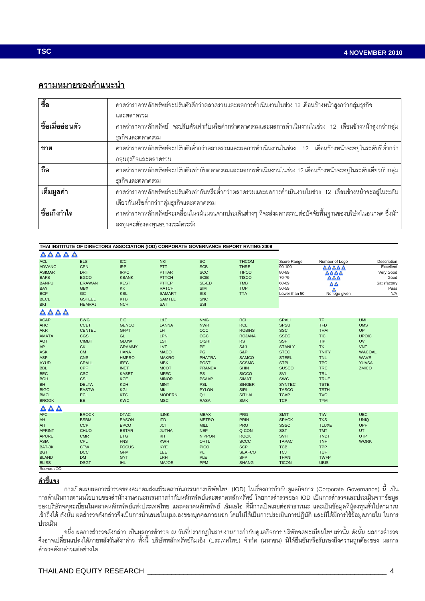# ความหมายของคำแนะนำ

| $\frac{2}{90}$   | คาดว่าราคาหลักทรัพย์จะปรับตัวดีกว่าตลาดรวมและผลการดำเนินงานในช่วง 12 เดือนข้างหน้าสูงกว่ากลุ่มธุรกิจ                |
|------------------|---------------------------------------------------------------------------------------------------------------------|
|                  | และตลาดรวม                                                                                                          |
| ชื้อเมื่ออ่อนตัว | ิ คาดว่าราคาหลักทรัพย์   จะปรับตัวเท่ากับหรือต่ำกว่าตลาดรวมและผลการดำเนินงานในช่วง   12   เดือนข้างหน้าสูงกว่ากลุ่ม |
|                  | ธุรกิจและตลาดรวม                                                                                                    |
| ขาย              | ิ คาดว่าราคาหลักทรัพย์จะปรับตัวต่ำกว่าตลาดรวมและผลการดำเนินงานในช่วง 12 เดือนข้างหน้าจะอยู่ในระดับที่ต่ำกว่า        |
|                  | กลุ่มธุรกิจและตลาดรวม                                                                                               |
| ถือ              | คาดว่าราคาหลักทรัพย์จะปรับตัวเท่ากับตลาดรวมและผลการดำเนินงานในช่วง 12 เดือนข้างหน้าจะอยู่ในระดับเดียวกับกลุ่ม       |
|                  | ธุรกิจและตลาดรวม                                                                                                    |
| เต็มมูลค่า       | ิ คาดว่าราคาหลักทรัพย์จะปรับตัวเท่ากับหรือต่ำกว่าตลาดรวมและผลการดำเนินงานในช่วง 12 เดือนข้างหน้าจะอยู่ในระดับ       |
|                  | เดียวกันหรือต่ำกว่ากลุ่มธุรกิจและตลาดรวม                                                                            |
| ชื้อเก็งกำไร     | ิ คาดว่าราคาหลักทรัพย์จะเคลื่อนไหวผันผวนจากประเด็นต่างๆ ที่จะส่งผลกระทบต่อปัจจัยพื้นฐานของบริษัทในอนาคต ซึ่งนัก     |
|                  | ลงทุนจะต้องลงทุนอย่างระมัดระวัง                                                                                     |

## THAI INSTITUTE OF DIRECTORS ASSOCIATION (IOD) CORPORATE GOVERNANCE REPORT RATING 2009

| AAAAA                                                                                                                                                                                                                            |                                                                                                                                                                                                                          |                                                                                                                                                                                                                             |                                                                                                                                                                                                                           |                                                                                                                                                                                                            |                                                                                                                                                                                                                                     |                                                                                                                                                                                                                                   |                                                                                                                                                                                                                    |                                                                                                                                    |
|----------------------------------------------------------------------------------------------------------------------------------------------------------------------------------------------------------------------------------|--------------------------------------------------------------------------------------------------------------------------------------------------------------------------------------------------------------------------|-----------------------------------------------------------------------------------------------------------------------------------------------------------------------------------------------------------------------------|---------------------------------------------------------------------------------------------------------------------------------------------------------------------------------------------------------------------------|------------------------------------------------------------------------------------------------------------------------------------------------------------------------------------------------------------|-------------------------------------------------------------------------------------------------------------------------------------------------------------------------------------------------------------------------------------|-----------------------------------------------------------------------------------------------------------------------------------------------------------------------------------------------------------------------------------|--------------------------------------------------------------------------------------------------------------------------------------------------------------------------------------------------------------------|------------------------------------------------------------------------------------------------------------------------------------|
| <b>ACL</b><br><b>ADVANC</b><br><b>ASIMAR</b><br><b>BAFS</b><br><b>BANPU</b><br><b>BAY</b><br><b>BCP</b><br><b>BECL</b><br><b>BKI</b>                                                                                             | <b>BLS</b><br><b>CPN</b><br><b>DRT</b><br>EGCO<br><b>ERAWAN</b><br><b>GBX</b><br>GC<br><b>GSTEEL</b><br><b>HEMRAJ</b>                                                                                                    | ICC<br><b>IRP</b><br><b>IRPC</b><br><b>KBANK</b><br><b>KEST</b><br>KK<br><b>KSL</b><br><b>KTB</b><br><b>NCH</b>                                                                                                             | <b>NKI</b><br>PTT<br><b>PTTAR</b><br><b>PTTCH</b><br>PTTEP<br><b>RATCH</b><br><b>SAMART</b><br><b>SAMTEL</b><br>SAT                                                                                                       | <b>SC</b><br><b>SCB</b><br><b>SCC</b><br><b>SCIB</b><br>SE-ED<br><b>SIM</b><br><b>SIS</b><br><b>SNC</b><br>SSI                                                                                             | <b>THCOM</b><br><b>THRE</b><br><b>TIPCO</b><br><b>TISCO</b><br><b>TMB</b><br><b>TOP</b><br><b>TTA</b>                                                                                                                               | Score Range<br>90-100<br>80-89<br>70-79<br>60-69<br>50-59<br>Lower than 50                                                                                                                                                        | Number of Logo<br>AAAAA<br>$\Delta \Delta \Delta$<br>ΔΔΔ<br>ΔΔ<br>Δ<br>No logo given                                                                                                                               | Description<br>Excellent<br>Very Good<br>Good<br>Satisfactory<br>Pass<br>N/A                                                       |
| $\triangle \triangle \triangle \triangle$                                                                                                                                                                                        |                                                                                                                                                                                                                          |                                                                                                                                                                                                                             |                                                                                                                                                                                                                           |                                                                                                                                                                                                            |                                                                                                                                                                                                                                     |                                                                                                                                                                                                                                   |                                                                                                                                                                                                                    |                                                                                                                                    |
| <b>ACAP</b><br>AHC<br><b>AKR</b><br><b>AMATA</b><br><b>AOT</b><br>${\sf AP}$<br><b>ASK</b><br><b>ASP</b><br><b>AYUD</b><br><b>BBL</b><br><b>BEC</b><br><b>BGH</b><br>$\mathsf{BH}$<br><b>BIGC</b><br><b>BMCL</b><br><b>BROOK</b> | <b>BWG</b><br><b>CCET</b><br><b>CENTEL</b><br><b>CGS</b><br><b>CIMBT</b><br><b>CK</b><br><b>CM</b><br>CNS<br><b>CPALL</b><br><b>CPF</b><br><b>CSC</b><br><b>CSL</b><br><b>DELTA</b><br><b>EASTW</b><br><b>ECL</b><br>EE. | <b>EIC</b><br><b>GENCO</b><br><b>GFPT</b><br>GL<br><b>GLOW</b><br><b>GRAMMY</b><br><b>HANA</b><br><b>HMPRO</b><br><b>IFEC</b><br><b>INET</b><br><b>KASET</b><br><b>KCE</b><br><b>KDH</b><br>KGI<br><b>KTC</b><br><b>KWC</b> | L&E<br><b>LANNA</b><br>LH<br><b>LPN</b><br><b>LST</b><br><b>LVT</b><br><b>MACO</b><br><b>MAKRO</b><br><b>MBK</b><br><b>MCOT</b><br><b>MFEC</b><br><b>MINOR</b><br><b>MINT</b><br><b>MK</b><br><b>MODERN</b><br><b>MSC</b> | <b>NMG</b><br><b>NWR</b><br>OCC<br><b>OGC</b><br><b>OISHI</b><br>PF<br>PG<br><b>PHATRA</b><br><b>POST</b><br><b>PRANDA</b><br><b>PS</b><br><b>PSAAP</b><br><b>PSL</b><br><b>PYLON</b><br>QH<br><b>RASA</b> | <b>RCI</b><br><b>RCL</b><br><b>ROBINS</b><br><b>ROJANA</b><br><b>RS</b><br>S&J<br>S&P<br><b>SAMCO</b><br><b>SCSMG</b><br><b>SHIN</b><br><b>SICCO</b><br><b>SIMAT</b><br><b>SINGER</b><br><b>SIRI</b><br><b>SITHAI</b><br><b>SMK</b> | <b>SPALI</b><br>SPSU<br><b>SSC</b><br><b>SSEC</b><br><b>SSF</b><br><b>STANLY</b><br><b>STEC</b><br><b>STEEL</b><br><b>STPI</b><br><b>SUSCO</b><br>SVI<br><b>SWC</b><br><b>SYNTEC</b><br><b>TASCO</b><br><b>TCAP</b><br><b>TCP</b> | TF<br><b>TFD</b><br><b>THAI</b><br><b>TIC</b><br>TIP<br><b>TK</b><br><b>TNITY</b><br><b>TNL</b><br><b>TPC</b><br><b>TRC</b><br><b>TRU</b><br><b>TRUE</b><br><b>TSTE</b><br><b>TSTH</b><br><b>TVO</b><br><b>TYM</b> | <b>UMI</b><br><b>UMS</b><br><b>UP</b><br><b>UPOIC</b><br><b>UV</b><br><b>VNT</b><br><b>WACOAL</b><br>WAVE<br><b>YUASA</b><br>ZMICO |
| Δ<br>$\triangle$<br>A                                                                                                                                                                                                            |                                                                                                                                                                                                                          |                                                                                                                                                                                                                             |                                                                                                                                                                                                                           |                                                                                                                                                                                                            |                                                                                                                                                                                                                                     |                                                                                                                                                                                                                                   |                                                                                                                                                                                                                    |                                                                                                                                    |
| <b>AFC</b><br>$\mathsf{AH}$<br>AIT<br><b>APRINT</b><br><b>APURE</b><br><b>ASIA</b><br>BAT-3K<br><b>BGT</b><br><b>BLAND</b><br><b>BLISS</b><br>Source: IOD                                                                        | <b>BROCK</b><br><b>BSBM</b><br><b>CCP</b><br><b>CHUO</b><br><b>CMR</b><br><b>CPL</b><br><b>CTW</b><br><b>DCC</b><br><b>DM</b><br><b>DSGT</b>                                                                             | <b>DTAC</b><br><b>EASON</b><br><b>EPCO</b><br><b>ESTAR</b><br><b>ETG</b><br><b>FNS</b><br><b>FOCUS</b><br><b>GFM</b><br><b>GYT</b><br><b>IHL</b>                                                                            | <b>ILINK</b><br><b>ITD</b><br><b>JCT</b><br><b>JUTHA</b><br>KH<br><b>KWH</b><br><b>KYE</b><br><b>LEE</b><br><b>LRH</b><br><b>MAJOR</b>                                                                                    | <b>MBAX</b><br><b>METRO</b><br><b>MILL</b><br><b>NEP</b><br><b>NIPPON</b><br><b>OHTL</b><br><b>PICO</b><br><b>PL</b><br>PLE<br><b>PPM</b>                                                                  | <b>PRG</b><br><b>PRIN</b><br><b>PRO</b><br>Q-CON<br><b>ROCK</b><br><b>SCCC</b><br><b>SCP</b><br><b>SEAFCO</b><br><b>SFP</b><br><b>SHANG</b>                                                                                         | <b>SMIT</b><br><b>SPACK</b><br><b>SSSC</b><br><b>SST</b><br>SVH<br><b>TAPAC</b><br><b>TCB</b><br><b>TCJ</b><br><b>THANI</b><br><b>TICON</b>                                                                                       | TIW<br><b>TKS</b><br><b>TLUXE</b><br><b>TMT</b><br><b>TNDT</b><br><b>TNH</b><br>TPP<br><b>TUF</b><br><b>TWFP</b><br><b>UBIS</b>                                                                                    | <b>UEC</b><br><b>UNIQ</b><br><b>UPF</b><br>UT<br><b>UTP</b><br><b>WORK</b>                                                         |

## คำชี้แจง

การเปิดเผยผลการสำรวจของสมาคมส่งเสริมสถาบันกรรมการบริษัทไทย (IOD) ในเรื่องการกำกับดูแลกิจการ (Corporate Governance) นี้ เป็น<br>การดำเนินการตามนโยบายของสำนักงานคณะกรรมการกำกับหลักทรัพย์และตลาดหลักทรัพย์ โดยการสำรวจของ IOD เป็ ี ของบริษัทจดทะเบียนในตลาดหลักทรัพย์แห่งประเทศไทย และตลาดหลักทรัพย์ เอ็มเอไอ ที่มีการเปิดเผยต่อสาธารณะ และเป็นข้อมูลที่ผู้ลงทุนทั่วไปสามารถ เข้าถึงได้ ดังนั้น ผลลำรวจดังกล่าวจึงเป็นการนำเสนอในมุมมองของบุคคลภายนอก โดยไม่ได้เป็นการประเมินการปฏิบัติ และมิได้มีการใช้ข้อมลภายใน ในการ ประเมิน

้อนึ่ง ผลการสำรวจดังกล่าว เป็นผลการสำรวจ ณ วันที่ปรากกฎในรายงานการกำกับดูแลกิจการ บริษัทจดทะเบียนไทยเท่านั้น ดังนั้น ผลการสำรวจ ้จึงอาจเปลี่ยนแปลงได้ภายหลังวันดังกล่าว ทั้งนี้ บริษัทหลักทรัพย์กิมเอ็ง (ประเทศไทย) จำกัด (มหาชน) มิได้ยืนยันหรือรับรองถึงความถูกต้องของ ผลการ ลำรวจดังกล่าวแต่อย่างใด